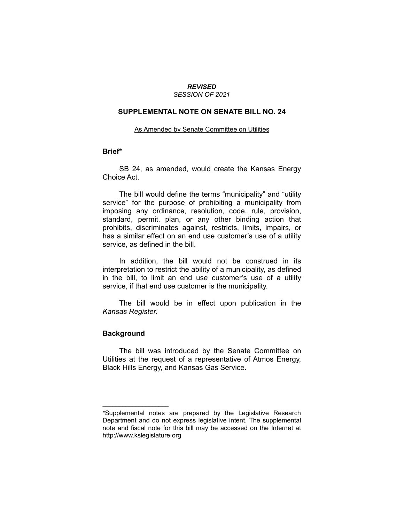# *REVISED*

## *SESSION OF 2021*

#### **SUPPLEMENTAL NOTE ON SENATE BILL NO. 24**

#### As Amended by Senate Committee on Utilities

#### **Brief\***

SB 24, as amended, would create the Kansas Energy Choice Act.

The bill would define the terms "municipality" and "utility service" for the purpose of prohibiting a municipality from imposing any ordinance, resolution, code, rule, provision, standard, permit, plan, or any other binding action that prohibits, discriminates against, restricts, limits, impairs, or has a similar effect on an end use customer's use of a utility service, as defined in the bill.

In addition, the bill would not be construed in its interpretation to restrict the ability of a municipality, as defined in the bill, to limit an end use customer's use of a utility service, if that end use customer is the municipality.

The bill would be in effect upon publication in the *Kansas Register.*

### **Background**

 $\overline{\phantom{a}}$  , where  $\overline{\phantom{a}}$  , where  $\overline{\phantom{a}}$ 

The bill was introduced by the Senate Committee on Utilities at the request of a representative of Atmos Energy, Black Hills Energy, and Kansas Gas Service.

<sup>\*</sup>Supplemental notes are prepared by the Legislative Research Department and do not express legislative intent. The supplemental note and fiscal note for this bill may be accessed on the Internet at http://www.kslegislature.org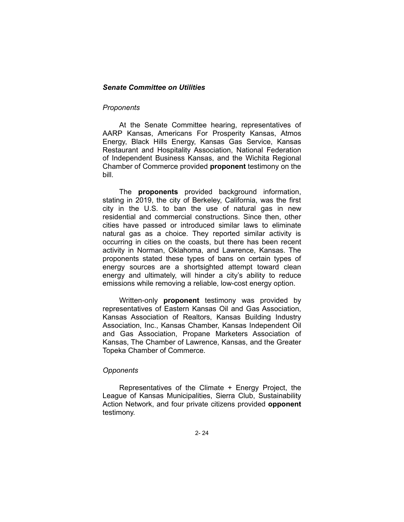#### *Senate Committee on Utilities*

#### *Proponents*

At the Senate Committee hearing, representatives of AARP Kansas, Americans For Prosperity Kansas, Atmos Energy, Black Hills Energy, Kansas Gas Service, Kansas Restaurant and Hospitality Association, National Federation of Independent Business Kansas, and the Wichita Regional Chamber of Commerce provided **proponent** testimony on the bill.

The **proponents** provided background information, stating in 2019, the city of Berkeley, California, was the first city in the U.S. to ban the use of natural gas in new residential and commercial constructions. Since then, other cities have passed or introduced similar laws to eliminate natural gas as a choice. They reported similar activity is occurring in cities on the coasts, but there has been recent activity in Norman, Oklahoma, and Lawrence, Kansas. The proponents stated these types of bans on certain types of energy sources are a shortsighted attempt toward clean energy and ultimately, will hinder a city's ability to reduce emissions while removing a reliable, low-cost energy option.

Written-only **proponent** testimony was provided by representatives of Eastern Kansas Oil and Gas Association, Kansas Association of Realtors, Kansas Building Industry Association, Inc., Kansas Chamber, Kansas Independent Oil and Gas Association, Propane Marketers Association of Kansas, The Chamber of Lawrence, Kansas, and the Greater Topeka Chamber of Commerce.

#### *Opponents*

Representatives of the Climate + Energy Project, the League of Kansas Municipalities, Sierra Club, Sustainability Action Network, and four private citizens provided **opponent** testimony.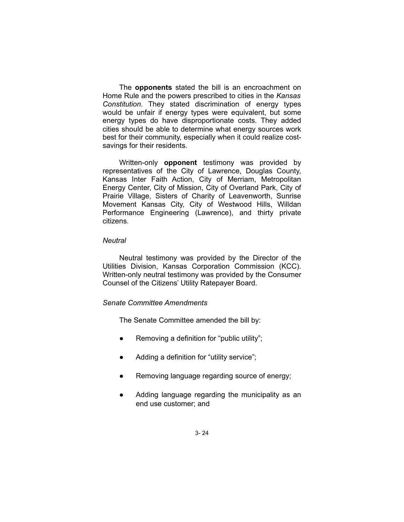The **opponents** stated the bill is an encroachment on Home Rule and the powers prescribed to cities in the *Kansas Constitution.* They stated discrimination of energy types would be unfair if energy types were equivalent, but some energy types do have disproportionate costs. They added cities should be able to determine what energy sources work best for their community, especially when it could realize costsavings for their residents.

Written-only **opponent** testimony was provided by representatives of the City of Lawrence, Douglas County, Kansas Inter Faith Action, City of Merriam, Metropolitan Energy Center, City of Mission, City of Overland Park, City of Prairie Village, Sisters of Charity of Leavenworth, Sunrise Movement Kansas City, City of Westwood Hills, Willdan Performance Engineering (Lawrence), and thirty private citizens.

#### *Neutral*

Neutral testimony was provided by the Director of the Utilities Division, Kansas Corporation Commission (KCC). Written-only neutral testimony was provided by the Consumer Counsel of the Citizens' Utility Ratepayer Board.

#### *Senate Committee Amendments*

The Senate Committee amended the bill by:

- Removing a definition for "public utility";
- Adding a definition for "utility service";
- Removing language regarding source of energy;
- Adding language regarding the municipality as an end use customer; and